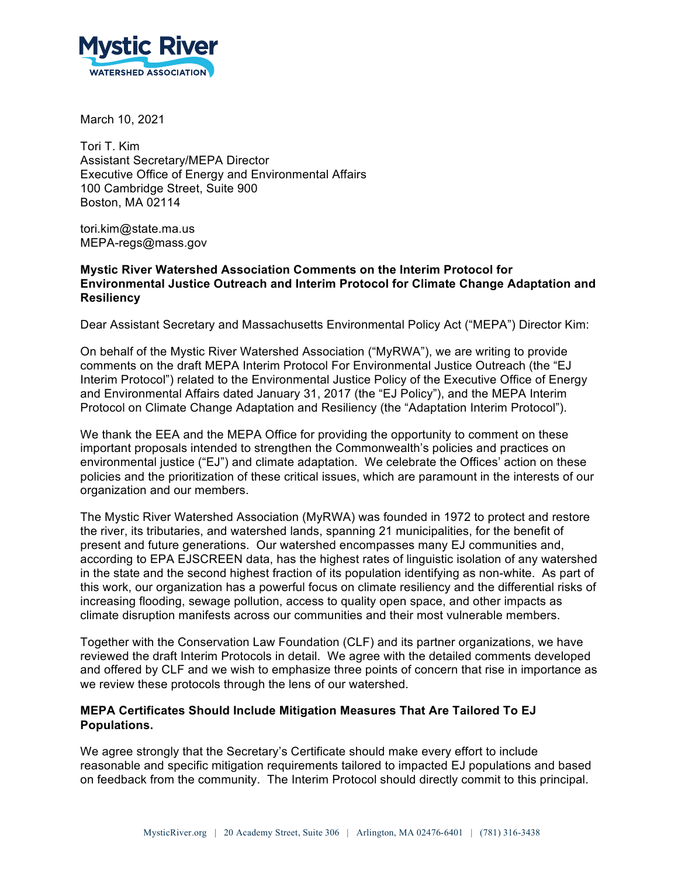

March 10, 2021

Tori T. Kim Assistant Secretary/MEPA Director Executive Office of Energy and Environmental Affairs 100 Cambridge Street, Suite 900 Boston, MA 02114

tori.kim@state.ma.us MEPA-regs@mass.gov

## **Mystic River Watershed Association Comments on the Interim Protocol for Environmental Justice Outreach and Interim Protocol for Climate Change Adaptation and Resiliency**

Dear Assistant Secretary and Massachusetts Environmental Policy Act ("MEPA") Director Kim:

On behalf of the Mystic River Watershed Association ("MyRWA"), we are writing to provide comments on the draft MEPA Interim Protocol For Environmental Justice Outreach (the "EJ Interim Protocol") related to the Environmental Justice Policy of the Executive Office of Energy and Environmental Affairs dated January 31, 2017 (the "EJ Policy"), and the MEPA Interim Protocol on Climate Change Adaptation and Resiliency (the "Adaptation Interim Protocol").

We thank the EEA and the MEPA Office for providing the opportunity to comment on these important proposals intended to strengthen the Commonwealth's policies and practices on environmental justice ("EJ") and climate adaptation. We celebrate the Offices' action on these policies and the prioritization of these critical issues, which are paramount in the interests of our organization and our members.

The Mystic River Watershed Association (MyRWA) was founded in 1972 to protect and restore the river, its tributaries, and watershed lands, spanning 21 municipalities, for the benefit of present and future generations. Our watershed encompasses many EJ communities and, according to EPA EJSCREEN data, has the highest rates of linguistic isolation of any watershed in the state and the second highest fraction of its population identifying as non-white. As part of this work, our organization has a powerful focus on climate resiliency and the differential risks of increasing flooding, sewage pollution, access to quality open space, and other impacts as climate disruption manifests across our communities and their most vulnerable members.

Together with the Conservation Law Foundation (CLF) and its partner organizations, we have reviewed the draft Interim Protocols in detail. We agree with the detailed comments developed and offered by CLF and we wish to emphasize three points of concern that rise in importance as we review these protocols through the lens of our watershed.

## **MEPA Certificates Should Include Mitigation Measures That Are Tailored To EJ Populations.**

We agree strongly that the Secretary's Certificate should make every effort to include reasonable and specific mitigation requirements tailored to impacted EJ populations and based on feedback from the community. The Interim Protocol should directly commit to this principal.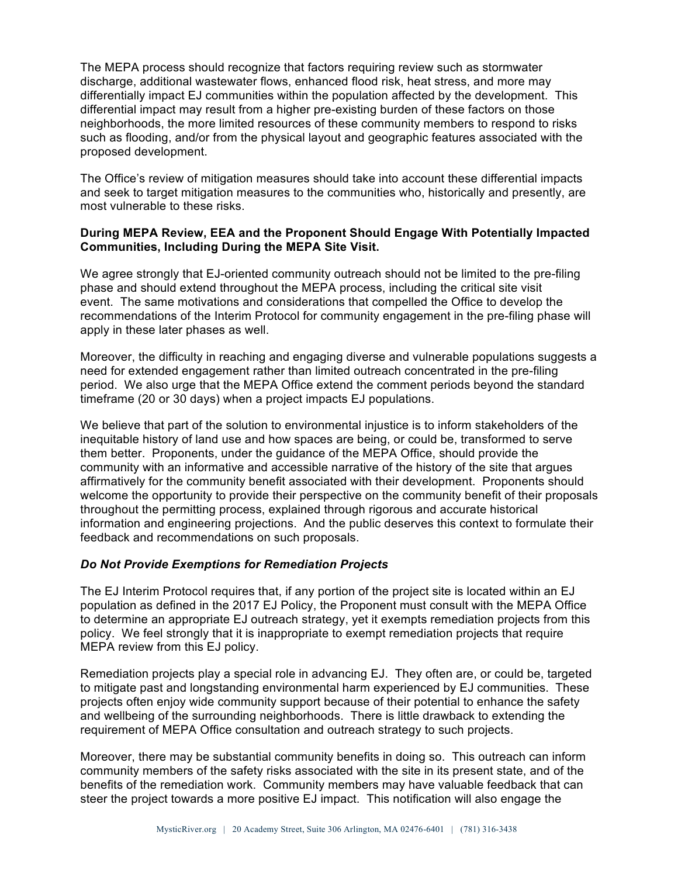The MEPA process should recognize that factors requiring review such as stormwater discharge, additional wastewater flows, enhanced flood risk, heat stress, and more may differentially impact EJ communities within the population affected by the development. This differential impact may result from a higher pre-existing burden of these factors on those neighborhoods, the more limited resources of these community members to respond to risks such as flooding, and/or from the physical layout and geographic features associated with the proposed development.

The Office's review of mitigation measures should take into account these differential impacts and seek to target mitigation measures to the communities who, historically and presently, are most vulnerable to these risks.

## **During MEPA Review, EEA and the Proponent Should Engage With Potentially Impacted Communities, Including During the MEPA Site Visit.**

We agree strongly that EJ-oriented community outreach should not be limited to the pre-filing phase and should extend throughout the MEPA process, including the critical site visit event. The same motivations and considerations that compelled the Office to develop the recommendations of the Interim Protocol for community engagement in the pre-filing phase will apply in these later phases as well.

Moreover, the difficulty in reaching and engaging diverse and vulnerable populations suggests a need for extended engagement rather than limited outreach concentrated in the pre-filing period. We also urge that the MEPA Office extend the comment periods beyond the standard timeframe (20 or 30 days) when a project impacts EJ populations.

We believe that part of the solution to environmental injustice is to inform stakeholders of the inequitable history of land use and how spaces are being, or could be, transformed to serve them better. Proponents, under the guidance of the MEPA Office, should provide the community with an informative and accessible narrative of the history of the site that argues affirmatively for the community benefit associated with their development. Proponents should welcome the opportunity to provide their perspective on the community benefit of their proposals throughout the permitting process, explained through rigorous and accurate historical information and engineering projections. And the public deserves this context to formulate their feedback and recommendations on such proposals.

## *Do Not Provide Exemptions for Remediation Projects*

The EJ Interim Protocol requires that, if any portion of the project site is located within an EJ population as defined in the 2017 EJ Policy, the Proponent must consult with the MEPA Office to determine an appropriate EJ outreach strategy, yet it exempts remediation projects from this policy. We feel strongly that it is inappropriate to exempt remediation projects that require MEPA review from this EJ policy.

Remediation projects play a special role in advancing EJ. They often are, or could be, targeted to mitigate past and longstanding environmental harm experienced by EJ communities. These projects often enjoy wide community support because of their potential to enhance the safety and wellbeing of the surrounding neighborhoods. There is little drawback to extending the requirement of MEPA Office consultation and outreach strategy to such projects.

Moreover, there may be substantial community benefits in doing so. This outreach can inform community members of the safety risks associated with the site in its present state, and of the benefits of the remediation work. Community members may have valuable feedback that can steer the project towards a more positive EJ impact. This notification will also engage the